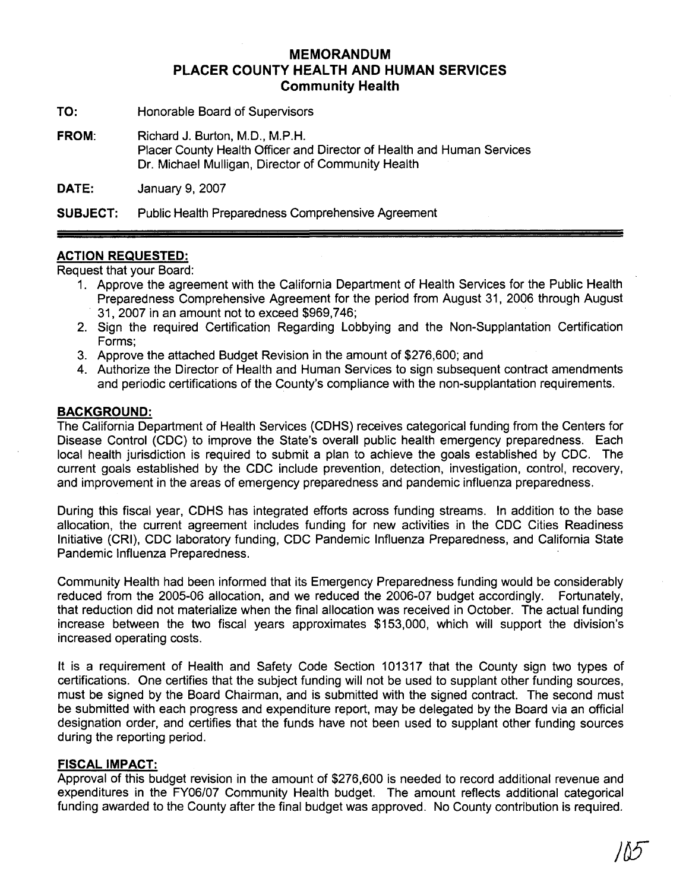### **MEMORANDUM PLACER COUNTY HEALTH AND HUMAN SERVICES Community Health**

- **TO:** Honorable Board of Supervisors
- **FROM:** Richard J. Burton, M.D., M.P.H. Placer County Health Officer and Director of Health and Human Services Dr. Michael Mulligan, Director of Community Health

**DATE: January 9, 2007** 

**SUBJECT:** Public Health Preparedness Comprehensive Agreement

#### **ACTION REQUESTED:**

Request that your Board:

- 1. Approve the agreement with the California Department of Health Services for the Public Health Preparedness Comprehensive Agreement for the period from August 31, 2006 through August 31,2007 in an amount not to exceed \$969,746;
- 2. Sign the required Certification Regarding Lobbying and the Non-Supplantation Certification Forms;
- 3. Approve the attached Budget Revision in the amount of \$276,600; and
- 4. Authorize the Director of Health and Human Services to sign subsequent contract amendments and periodic certifications of the County's compliance with the non-supplantation requirements.

#### **BACKGROUND:**

The California Department of Health Services (CDHS) receives categorical funding from the Centers for Disease Control (CDC) to improve the State's overall public health emergency preparedness. Each local health jurisdiction is required to submit a plan to achieve the goals established by CDC. The current goals established by the CDC include prevention, detection, investigation, control, recovery, and improvement in the areas of emergency preparedness and pandemic influenza preparedness.

During this fiscal year, CDHS has integrated efforts across funding streams. In addition to the base allocation, the current agreement includes funding for new activities in the CDC Cities Readiness Initiative (CRI), CDC laboratory funding, CDC Pandemic lnfluenza Preparedness, and California State Pandemic lnfluenza Preparedness.

Community Health had been informed that its Emergency Preparedness funding would be considerably reduced from the 2005-06 allocation, and we reduced the 2006-07 budget accordingly. Fortunately, that reduction did not materialize when the final allocation was received in October. The actual funding increase between the two fiscal years approximates \$153,000, which will support the division's increased operating costs.

It is a requirement of Health and Safety Code Section 101317 that the County sign two types of certifications. One certifies that the subject funding will not be used to supplant other funding sources, must be signed by the Board Chairman, and is submitted with the signed contract. The second must be submitted with each progress and expenditure report, may be delegated by the Board via an official designation order, and certifies that the funds have not been used to supplant other funding sources during the reporting period.

#### **FISCAL IMPACT:**

Approval of this budget revision in the amount of \$276,600 is needed to record additional revenue and expenditures in the FY06/07 Community Health budget. The amount reflects additional categorical funding awarded to the County after the final budget was approved. No County contribution is required.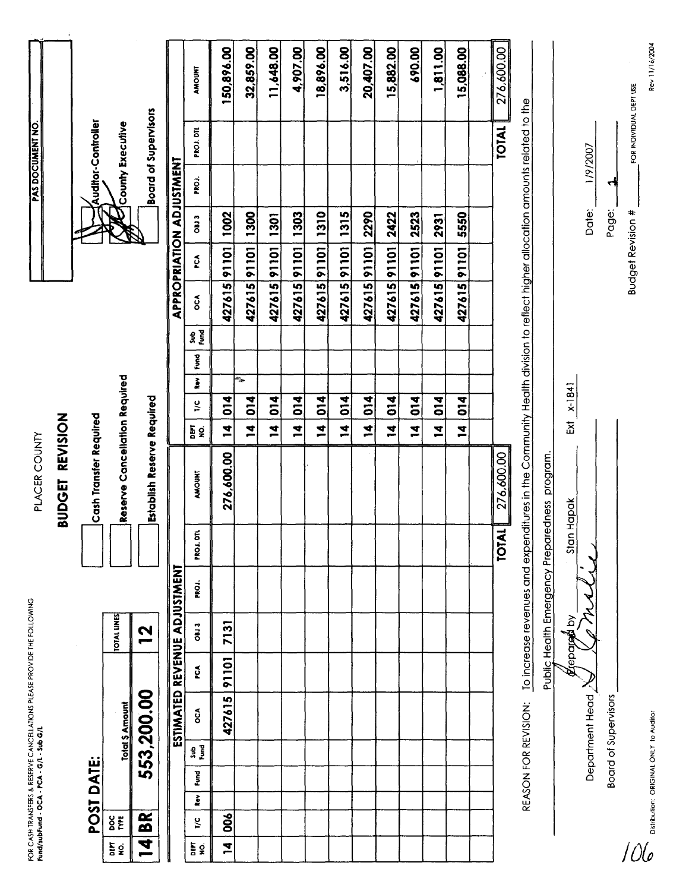|                 |                                    |                      |      |              |                                                     |             | FOR CASH TRANSFERS & RESERVE CANCELLATIONS PLEASE PROVIDE THE FOLLOWING<br>Fund/subfund - OCA - PCA - G/L - Sub G/L |                              |                   | PLACER COUNTY                                                                                                              |                         |                  |                         |                  |             |                          |      |                          | <b>PAS DOCUMENT NO.</b>     |                         |                |
|-----------------|------------------------------------|----------------------|------|--------------|-----------------------------------------------------|-------------|---------------------------------------------------------------------------------------------------------------------|------------------------------|-------------------|----------------------------------------------------------------------------------------------------------------------------|-------------------------|------------------|-------------------------|------------------|-------------|--------------------------|------|--------------------------|-----------------------------|-------------------------|----------------|
|                 |                                    |                      |      |              |                                                     |             |                                                                                                                     |                              |                   | BUDGET REVISION                                                                                                            |                         |                  |                         |                  |             |                          |      |                          |                             |                         |                |
|                 |                                    | POST DATE:           |      |              |                                                     |             |                                                                                                                     |                              |                   | <b>Cash Transfer Required</b>                                                                                              |                         |                  |                         |                  |             |                          |      |                          | <b>Auditor-Controller</b>   |                         |                |
| as g            | $rac{8}{5}$                        |                      |      |              | <b>Total \$ Amount</b>                              |             | <b>TOTAL LINES</b>                                                                                                  |                              |                   | Reserve Cancellation Required                                                                                              |                         |                  |                         |                  |             |                          |      |                          | County Executive            |                         |                |
|                 | BR<br>B<br>$\overline{\mathbf{A}}$ |                      |      |              | 553,200.00                                          |             | <b>21</b>                                                                                                           |                              |                   | Establish Reserve Required                                                                                                 |                         |                  |                         |                  |             |                          |      |                          | <b>Board of Supervisors</b> |                         |                |
|                 |                                    |                      |      |              |                                                     |             |                                                                                                                     | ESTIMATED REVENUE ADJUSTMENT |                   |                                                                                                                            |                         |                  |                         |                  |             |                          |      | APPROPRIATION ADJUSTMENT |                             |                         |                |
| $\frac{5}{2}$ g | $\frac{1}{2}$                      | $\frac{1}{\epsilon}$ | Fund | sub<br>Super | $\mathbf{c}$                                        | řČÁ         | <b>OB13</b>                                                                                                         | PROJ.                        | PROJ. DTL         | <b>AMOUNT</b>                                                                                                              | ne<br>En 2              | $\frac{1}{2}$    | $\overline{\mathbf{r}}$ | 요<br>이 모<br>Fund | $\tilde{c}$ | ø                        | CECO | PROJ.                    | PROJ. DTL                   |                         | <b>AMOUNT</b>  |
| 74              | 8                                  |                      |      |              | 427615                                              | 91101       | 7131                                                                                                                |                              |                   | 276,600.00                                                                                                                 | $\overline{a}$          | 014              |                         |                  | 427615      | 91101                    | 1002 |                          |                             |                         | 150,896.00     |
|                 |                                    |                      |      |              |                                                     |             |                                                                                                                     |                              |                   |                                                                                                                            | $\overline{\mathbf{u}}$ | $\frac{4}{10}$   | é.                      |                  |             | 427615 91101             | 1300 |                          |                             |                         | 32,859.00      |
|                 |                                    |                      |      |              |                                                     |             |                                                                                                                     |                              |                   |                                                                                                                            | $\overline{a}$          | $\overline{014}$ |                         |                  | 427615      | 10116                    | 1301 |                          |                             |                         | 11,648.00      |
|                 |                                    |                      |      |              |                                                     |             |                                                                                                                     |                              |                   |                                                                                                                            | $\overline{a}$          | 014              |                         |                  |             | 427615 91101             | 1303 |                          |                             |                         | 4,907.00       |
|                 |                                    |                      |      |              |                                                     |             |                                                                                                                     |                              |                   |                                                                                                                            | $\frac{4}{1}$           | $\overline{014}$ |                         |                  |             | 427615 91101             | 1310 |                          |                             |                         | 18,896.00      |
|                 |                                    |                      |      |              |                                                     |             |                                                                                                                     |                              |                   |                                                                                                                            | $\frac{4}{1}$           | $\overline{0}$   |                         |                  |             | 42761591101              | 1315 |                          |                             |                         | 3,516.00       |
|                 |                                    |                      |      |              |                                                     |             |                                                                                                                     |                              |                   |                                                                                                                            | Ż,                      | 014              |                         |                  |             | 427615 91101             | 2290 |                          |                             |                         | 20,407.00      |
|                 |                                    |                      |      |              |                                                     |             |                                                                                                                     |                              |                   |                                                                                                                            | $\tilde{\mathbf{z}}$    | 014              |                         |                  |             | 42761591101              | 2422 |                          |                             |                         | 15,882.00      |
|                 |                                    |                      |      |              |                                                     |             |                                                                                                                     |                              |                   |                                                                                                                            | $\overline{a}$          | 014              |                         |                  |             | 427615 91101             | 2523 |                          |                             |                         | 690.00         |
|                 |                                    |                      |      |              |                                                     |             |                                                                                                                     |                              |                   |                                                                                                                            | $\mathbf{z}$            | $\frac{4}{10}$   |                         |                  | 427615      | 10116                    | 2931 |                          |                             |                         | 1,811.00       |
|                 |                                    |                      |      |              |                                                     |             |                                                                                                                     |                              |                   |                                                                                                                            | $\overline{a}$          | $\frac{4}{5}$    |                         |                  |             | 42761591101              | 5550 |                          |                             |                         | 15,088.00      |
|                 |                                    |                      |      |              |                                                     |             |                                                                                                                     |                              |                   |                                                                                                                            |                         |                  |                         |                  |             |                          |      |                          |                             |                         |                |
|                 |                                    |                      |      |              |                                                     |             |                                                                                                                     |                              | <b>TOTAL</b>      | 276,600.00                                                                                                                 |                         |                  |                         |                  |             |                          |      |                          | <b>TOTAL</b>                |                         | 276,600.00     |
|                 |                                    |                      |      |              | REASON FOR REVISION:                                |             |                                                                                                                     |                              |                   | To increase revenues and expenditures in the Community Health division to reflect higher allocation amounts related to the |                         |                  |                         |                  |             |                          |      |                          |                             |                         |                |
|                 |                                    |                      |      |              |                                                     |             |                                                                                                                     |                              |                   | Public Health Emergency Preparedness program.                                                                              |                         |                  |                         |                  |             |                          |      |                          |                             |                         |                |
|                 |                                    |                      |      |              |                                                     | Arepared by |                                                                                                                     |                              | <b>Stan Hapak</b> |                                                                                                                            | ž                       | $x-1841$         |                         |                  |             |                          |      |                          |                             |                         |                |
|                 |                                    |                      |      |              | Department Head                                     |             | $\check{\mathcal{L}}$                                                                                               | ₹                            |                   |                                                                                                                            |                         |                  |                         |                  |             |                          |      | Date:                    | 1/9/2007                    |                         |                |
|                 |                                    |                      |      |              | <b>Board of Supervisors</b>                         |             |                                                                                                                     |                              |                   |                                                                                                                            |                         |                  |                         |                  |             |                          |      | ᆌ<br>Page:               |                             |                         |                |
|                 |                                    |                      |      |              |                                                     |             |                                                                                                                     |                              |                   |                                                                                                                            |                         |                  |                         |                  |             | <b>Budget Revision #</b> |      |                          |                             | FOR INDIVIDUAL DEPT USE |                |
|                 |                                    |                      |      |              | <b>CO</b><br>Distribution: ORIGINAL ONLY to Auditor |             |                                                                                                                     |                              |                   |                                                                                                                            |                         |                  |                         |                  |             |                          |      |                          |                             |                         | Rev 11/16/2004 |
|                 |                                    |                      |      |              |                                                     |             |                                                                                                                     |                              |                   |                                                                                                                            |                         |                  |                         |                  |             |                          |      |                          |                             |                         |                |
|                 |                                    |                      |      |              |                                                     |             |                                                                                                                     |                              |                   |                                                                                                                            |                         |                  |                         |                  |             |                          |      |                          |                             |                         |                |
|                 |                                    |                      |      |              |                                                     |             |                                                                                                                     |                              |                   |                                                                                                                            |                         |                  |                         |                  |             |                          |      |                          |                             |                         |                |
|                 |                                    |                      |      |              |                                                     |             |                                                                                                                     |                              |                   |                                                                                                                            |                         |                  |                         |                  |             |                          |      |                          |                             |                         |                |
|                 |                                    |                      |      |              |                                                     |             |                                                                                                                     |                              |                   |                                                                                                                            |                         |                  |                         |                  |             |                          |      |                          |                             |                         |                |
|                 |                                    |                      |      |              |                                                     |             |                                                                                                                     |                              |                   |                                                                                                                            |                         |                  |                         |                  |             |                          |      |                          |                             |                         |                |
|                 |                                    |                      |      |              |                                                     |             |                                                                                                                     |                              |                   |                                                                                                                            |                         |                  |                         |                  |             |                          |      |                          |                             |                         |                |

**PAS DOCUMENT NO.**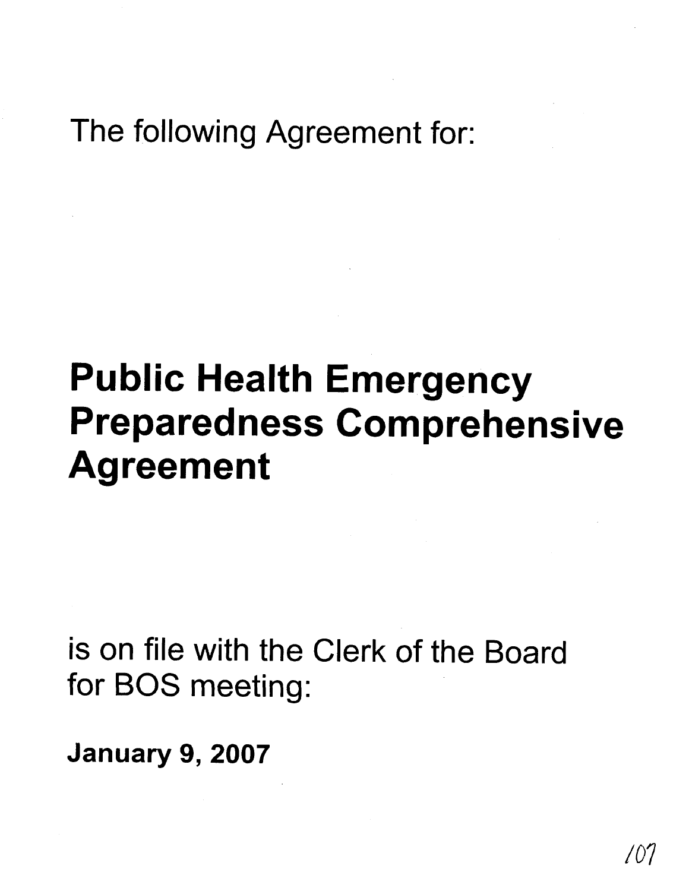## The following Agreement for:

# **Public Health Emergency Preparedness Comprehensive Agreement**

is on file with the Clerk of the Board for BOS meeting:

**January 9,2007**